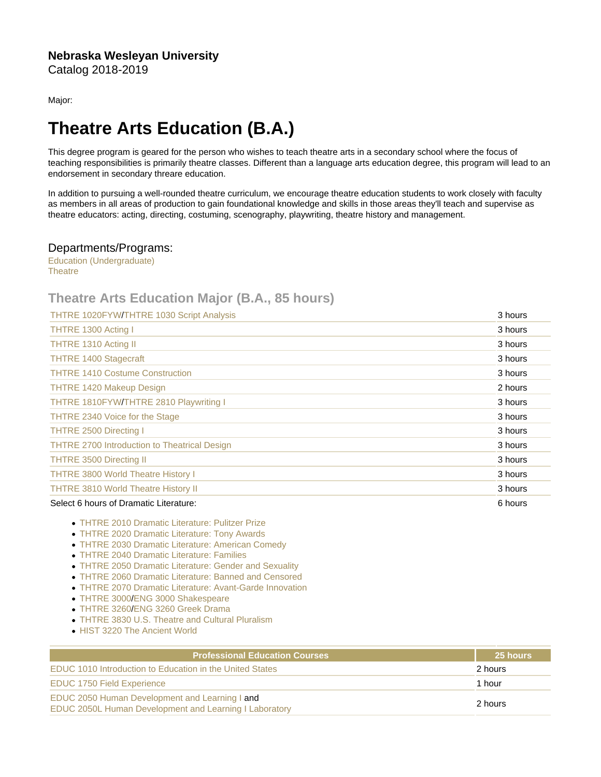Major:

## Theatre Arts Education (B.A.)

This degree program is geared for the person who wishes to teach theatre arts in a secondary school where the focus of teaching responsibilities is primarily theatre classes. Different than a language arts education degree, this program will lead to an endorsement in secondary threare education.

In addition to pursuing a well-rounded theatre curriculum, we encourage theatre education students to work closely with faculty as members in all areas of production to gain foundational knowledge and skills in those areas they'll teach and supervise as theatre educators: acting, directing, costuming, scenography, playwriting, theatre history and management.

## Departments/Programs:

[Education \(Undergraduate\)](https://catalog.nebrwesleyan.edu/cc/2018-2019/department/330852) **[Theatre](https://catalog.nebrwesleyan.edu/cc/2018-2019/department/330868)** 

## Theatre Arts Education Major (B.A., 85 hours)

| <b>THTRE 1020FYW/THTRE 1030 Script Analysis</b>     | 3 hours |
|-----------------------------------------------------|---------|
| THTRE 1300 Acting I                                 | 3 hours |
| THTRE 1310 Acting II                                | 3 hours |
| <b>THTRE 1400 Stagecraft</b>                        | 3 hours |
| <b>THTRE 1410 Costume Construction</b>              | 3 hours |
| <b>THTRE 1420 Makeup Design</b>                     | 2 hours |
| THTRE 1810FYW/THTRE 2810 Playwriting I              | 3 hours |
| THTRE 2340 Voice for the Stage                      | 3 hours |
| <b>THTRE 2500 Directing I</b>                       | 3 hours |
| <b>THTRE 2700 Introduction to Theatrical Design</b> | 3 hours |
| <b>THTRE 3500 Directing II</b>                      | 3 hours |
| <b>THTRE 3800 World Theatre History I</b>           | 3 hours |
| <b>THTRE 3810 World Theatre History II</b>          | 3 hours |
| Select 6 hours of Dramatic Literature:              | 6 hours |

- [THTRE 2010 Dramatic Literature: Pulitzer Prize](https://catalog.nebrwesleyan.edu/cc/2021-2022/course/360631)
- [THTRE 2020 Dramatic Literature: Tony Awards](https://catalog.nebrwesleyan.edu/cc/2021-2022/course/362433)
- [THTRE 2030 Dramatic Literature: American Comedy](https://catalog.nebrwesleyan.edu/cc/2021-2022/course/362434)
- [THTRE 2040 Dramatic Literature: Families](https://catalog.nebrwesleyan.edu/cc/2021-2022/course/362435)
- [THTRE 2050 Dramatic Literature: Gender and Sexuality](https://catalog.nebrwesleyan.edu/cc/2021-2022/course/362436)
- [THTRE 2060 Dramatic Literature: Banned and Censored](https://catalog.nebrwesleyan.edu/cc/2021-2022/course/362437)
- [THTRE 2070 Dramatic Literature: Avant-Garde Innovation](https://catalog.nebrwesleyan.edu/cc/2021-2022/course/362987)
- [THTRE 3000](https://catalog.nebrwesleyan.edu/cc/2021-2022/course/360644)[/ENG 3000 Shakespeare](https://catalog.nebrwesleyan.edu/cc/2021-2022/course/360305)
- [THTRE 3260](https://catalog.nebrwesleyan.edu/cc/2021-2022/course/362568)[/ENG 3260 Greek Drama](https://catalog.nebrwesleyan.edu/cc/2021-2022/course/361756)
- [THTRE 3830 U.S. Theatre and Cultural Pluralism](https://catalog.nebrwesleyan.edu/cc/2021-2022/course/362843)
- [HIST 3220 The Ancient World](https://catalog.nebrwesleyan.edu/cc/2021-2022/course/360496)

| Professional Education Courses                                                                           | 25 hours |
|----------------------------------------------------------------------------------------------------------|----------|
| EDUC 1010 Introduction to Education in the United States                                                 | 2 hours  |
| <b>EDUC 1750 Field Experience</b>                                                                        | 1 hour   |
| EDUC 2050 Human Development and Learning I and<br>EDUC 2050L Human Development and Learning I Laboratory | 2 hours  |